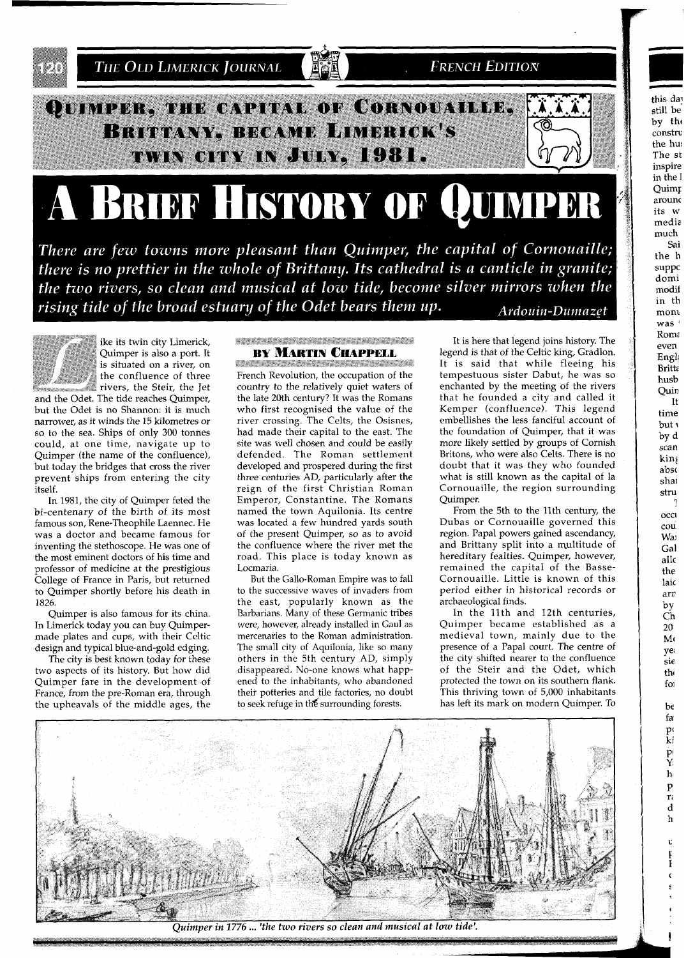

There are few towns more pleasant than Quimper, the capital of Cornouaille; there is no prettier in the whole of Brittany. Its cathedral is a canticle in granite; the two rivers, so clean and musical at low tide, become silver mirrors when the rising tide of the broad estuary of the Odet bears them up. Ardouin-Dumazet



ike its twin city Limerick, Quimper is also a port. It is situated on a river, on the confluence of three rivers, the Steir, the Jet

and the Odet. The tide reaches Quimper, but the Odet is no Shannon: it is much narrower, as it winds the 15 kilometres or so to the sea. Ships of only 300 tonnes could, at one time, navigate up to Quimper (the name of the confluence), but today the bridges that cross the river prevent ships from entering the city itself.

In 1981, the city of Quimper feted the bi-centenary of the birth of its most famous son, Rene-Theophile Laennec. He was a doctor and became famous for inventing the stethoscope. He was one of the most eminent doctors of his time and professor of medicine at the prestigious College of France in Paris, but returned to Quimper shortly before his death in 1826

Quimper is also famous for its china. In Limerick today you can buy Quimpermade plates and cups, with their Celtic design and typical blue-and-gold edging.

The city is best known today for these two aspects of its history. But how did Quimper fare in the development of France, from the pre-Roman era, through the upheavals of the middle ages, the

## **SERVICE CONTRACTORS CONTRACTORS BY MARTIN CHAPPELL**

<u> En de la financia de la financia de la financ</u> French Revolution, the occupation of the country to the relatively quiet waters of the late 20th century? It was the Romans who first recognised the value of the river crossing. The Celts, the Osisnes, had made their capital to the east. The site was well chosen and could be easily defended. The Roman settlement developed and prospered during the first three centuries AD, particularly after the reign of the first Christian Roman Emperor, Constantine. The Romans named the town Aquilonia. Its centre was located a few hundred yards south of the present Quimper, so as to avoid the confluence where the river met the road. This place is today known as Locmaria.

But the Gallo-Roman Empire was to fall to the successive waves of invaders from the east, popularly known as the Barbarians. Many of these Germanic tribes were, however, already installed in Gaul as mercenaries to the Roman administration. The small city of Aquilonia, like so many others in the 5th century AD, simply disappeared. No-one knows what happened to the inhabitants, who abandoned their potteries and tile factories, no doubt to seek refuge in the surrounding forests.

It is here that legend joins history. The legend is that of the Celtic king, Gradlon. It is said that while fleeing his tempestuous sister Dabut, he was so enchanted by the meeting of the rivers that he founded a city and called it<br>Kemper (confluence). This legend embellishes the less fanciful account of the foundation of Quimper, that it was more likely settled by groups of Cornish Britons, who were also Celts. There is no doubt that it was they who founded what is still known as the capital of la Cornouaille, the region surrounding Quimper.

this day

still be by the

constru the hus

The st inspire in the I

Quimp arounc its w media much Sai

the h

suppc domi

modif in th

mont  $was$ <sup> $+$ </sup> Roma

even

Engl

Britte

husb

Quin

time

but 1

by d

scan

king

abso

shai

stru

occu

cou

Wai

Gal

allo

the

laic

arn

by

Ch

20

 $M($ 

ye

 $\sin$ 

thi

foi

be fa p<sub>(</sub> ki  $\Pr_{Y_i}$  $h$  $\mathbf{p}$ r.  $\mathbf d$  $\mathbf h$  $\mathbf{t}$  $\frac{1}{\Gamma}$ 

- 7

It

From the 5th to the 11th century, the Dubas or Cornouaille governed this region. Papal powers gained ascendancy, and Brittany split into a multitude of hereditary fealties. Quimper, however, remained the capital of the Basse-Cornouaille. Little is known of this period either in historical records or archaeological finds.

In the 11th and 12th centuries, Quimper became established as a medieval town, mainly due to the presence of a Papal court. The centre of the city shifted nearer to the confluence of the Steir and the Odet, which protected the town on its southern flank. This thriving town of 5,000 inhabitants has left its mark on modern Quimper. To



Ouimper in 1776 ... 'the two rivers so clean and musical at low tide'.